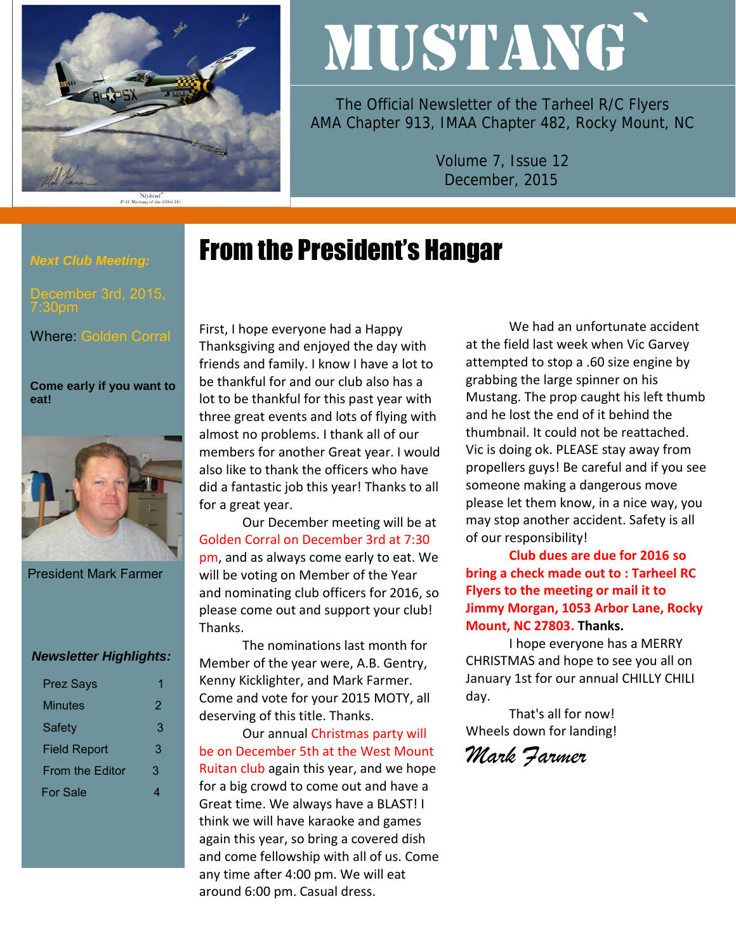

# MUSTANG`

The Official Newsletter of the Tarheel R/C Flyers AMA Chapter 913, IMAA Chapter 482, Rocky Mount, NC

> Volume 7, Issue 12 December, 2015

## From the President's Hangar

#### *Next Club Meeting:*

7:30pm

Where: Golden Corral

**Come early if you want to eat!** 



President Mark Farmer

#### *Newsletter Highlights:*

| <b>Prez Says</b>    |   |
|---------------------|---|
| Minutes             | 2 |
| <b>Safety</b>       | 3 |
| <b>Field Report</b> | 3 |
| From the Editor     | 3 |
| For Sale            |   |

First, I hope everyone had a Happy Thanksgiving and enjoyed the day with friends and family. I know I have a lot to be thankful for and our club also has a lot to be thankful for this past year with three great events and lots of flying with almost no problems. I thank all of our members for another Great year. I would also like to thank the officers who have did a fantastic job this year! Thanks to all for a great year.

Our December meeting will be at Golden Corral on December 3rd at 7:30 pm, and as always come early to eat. We will be voting on Member of the Year and nominating club officers for 2016, so please come out and support your club! Thanks.

The nominations last month for Member of the year were, A.B. Gentry, Kenny Kicklighter, and Mark Farmer. Come and vote for your 2015 MOTY, all deserving of this title. Thanks.

Our annual Christmas party will be on December 5th at the West Mount Ruitan club again this year, and we hope for a big crowd to come out and have a Great time. We always have a BLAST! I think we will have karaoke and games again this year, so bring a covered dish and come fellowship with all of us. Come any time after 4:00 pm. We will eat around 6:00 pm. Casual dress.

We had an unfortunate accident at the field last week when Vic Garvey attempted to stop a .60 size engine by grabbing the large spinner on his Mustang. The prop caught his left thumb and he lost the end of it behind the thumbnail. It could not be reattached. Vic is doing ok. PLEASE stay away from propellers guys! Be careful and if you see someone making a dangerous move please let them know, in a nice way, you may stop another accident. Safety is all of our responsibility!

**Club dues are due for 2016 so bring a check made out to : Tarheel RC Flyers to the meeting or mail it to Jimmy Morgan, 1053 Arbor Lane, Rocky Mount, NC 27803. Thanks.**

I hope everyone has a MERRY CHRISTMAS and hope to see you all on January 1st for our annual CHILLY CHILI day.

That's all for now! Wheels down for landing!

*Mark Farmer*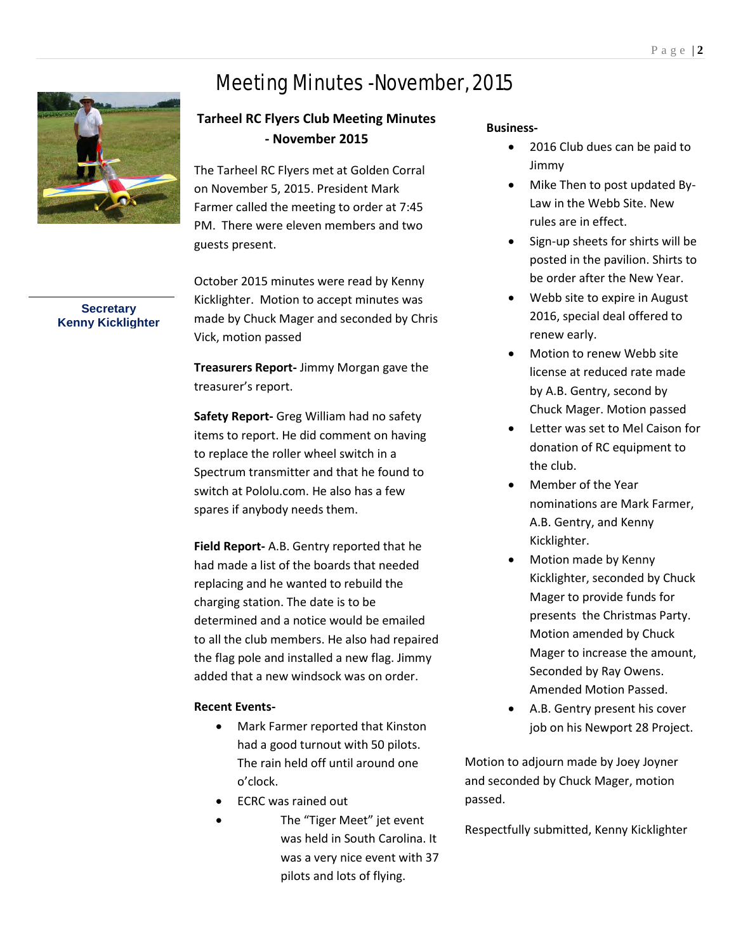## Meeting Minutes -November, 2015



#### **Tarheel RC Flyers Club Meeting Minutes - November 2015**

The Tarheel RC Flyers met at Golden Corral on November 5, 2015. President Mark Farmer called the meeting to order at 7:45 PM. There were eleven members and two guests present.

October 2015 minutes were read by Kenny Kicklighter. Motion to accept minutes was made by Chuck Mager and seconded by Chris Vick, motion passed

**Treasurers Report-** Jimmy Morgan gave the treasurer's report.

**Safety Report-** Greg William had no safety items to report. He did comment on having to replace the roller wheel switch in a Spectrum transmitter and that he found to switch at Pololu.com. He also has a few spares if anybody needs them.

**Field Report-** A.B. Gentry reported that he had made a list of the boards that needed replacing and he wanted to rebuild the charging station. The date is to be determined and a notice would be emailed to all the club members. He also had repaired the flag pole and installed a new flag. Jimmy added that a new windsock was on order.

#### **Recent Events-**

- Mark Farmer reported that Kinston had a good turnout with 50 pilots. The rain held off until around one o'clock.
- ECRC was rained out
- The "Tiger Meet" jet event was held in South Carolina. It was a very nice event with 37 pilots and lots of flying.

#### **Business-**

- 2016 Club dues can be paid to Jimmy
- Mike Then to post updated By-Law in the Webb Site. New rules are in effect.
- Sign-up sheets for shirts will be posted in the pavilion. Shirts to be order after the New Year.
- Webb site to expire in August 2016, special deal offered to renew early.
- Motion to renew Webb site license at reduced rate made by A.B. Gentry, second by Chuck Mager. Motion passed
- Letter was set to Mel Caison for donation of RC equipment to the club.
- Member of the Year nominations are Mark Farmer, A.B. Gentry, and Kenny Kicklighter.
- Motion made by Kenny Kicklighter, seconded by Chuck Mager to provide funds for presents the Christmas Party. Motion amended by Chuck Mager to increase the amount, Seconded by Ray Owens. Amended Motion Passed.
- A.B. Gentry present his cover job on his Newport 28 Project.

Motion to adjourn made by Joey Joyner and seconded by Chuck Mager, motion passed.

Respectfully submitted, Kenny Kicklighter

P a g e | **2** 

**Secretary Kenny Kicklighter**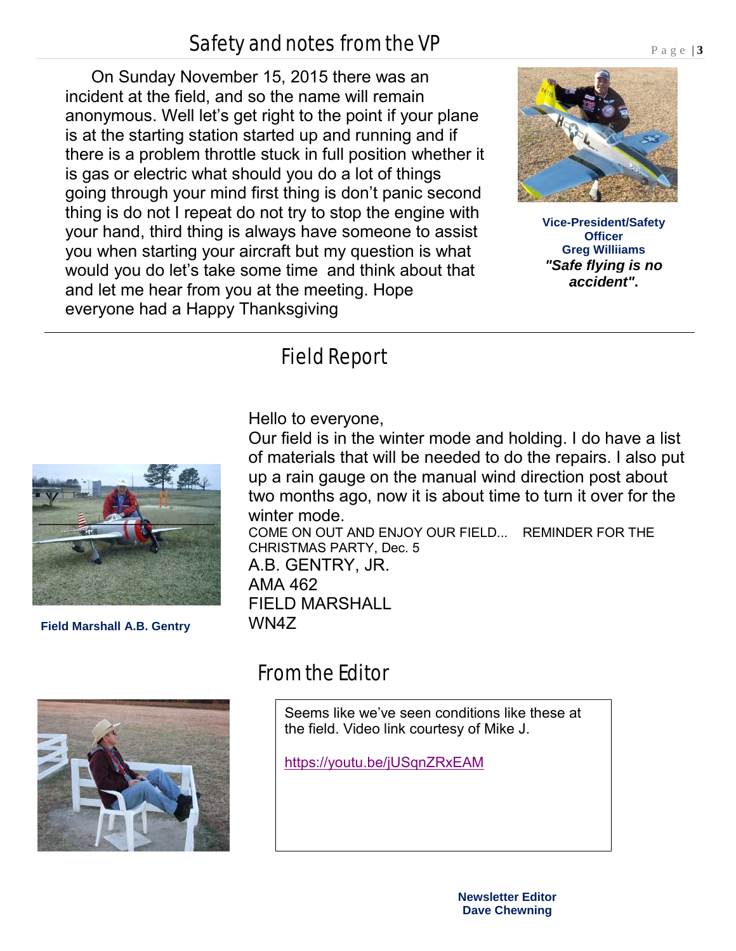#### **Newsletter Editor Dave Chewning**

## Safety and notes from the VP

 On Sunday November 15, 2015 there was an incident at the field, and so the name will remain anonymous. Well let's get right to the point if your plane is at the starting station started up and running and if there is a problem throttle stuck in full position whether it is gas or electric what should you do a lot of things going through your mind first thing is don't panic second thing is do not I repeat do not try to stop the engine with your hand, third thing is always have someone to assist you when starting your aircraft but my question is what would you do let's take some time and think about that and let me hear from you at the meeting. Hope everyone had a Happy Thanksgiving

## Field Report

Hello to everyone,

Our field is in the winter mode and holding. I do have a list of materials that will be needed to do the repairs. I also put up a rain gauge on the manual wind direction post about two months ago, now it is about time to turn it over for the winter mode.

COME ON OUT AND ENJOY OUR FIELD... REMINDER FOR THE CHRISTMAS PARTY, Dec. 5 A.B. GENTRY, JR. AMA 462 FIELD MARSHALL WN4Z

### From the Editor

Seems like we've seen conditions like these at the field. Video link courtesy of Mike J.

<https://youtu.be/jUSqnZRxEAM>





**Field Marshall A.B. Gentry**



P a g e | **3** 

**Vice-President/Safety Officer Greg Williiams**  *"Safe flying is no accident"***.**